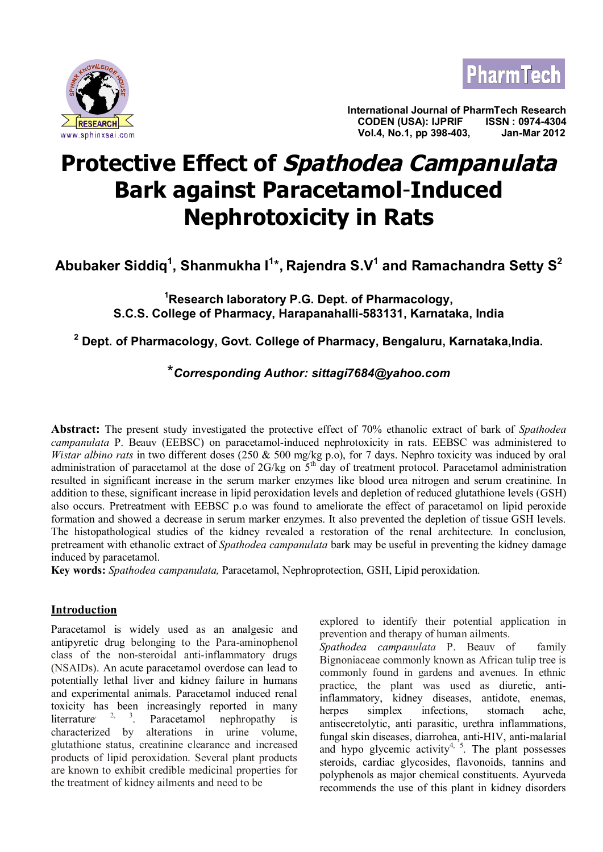



**International Journal of PharmTech Research CODEN (USA): IJPRIF ISSN : 0974-4304** *Vol.4, No.1, pp 398-403,* **Jan-Mar 2012** 

# **Protective Effect of Spathodea Campanulata Bark against Paracetamol**-**Induced Nephrotoxicity in Rats**

**Abubaker Siddiq<sup>1</sup> , Shanmukha I<sup>1</sup>** \***, Rajendra S.V<sup>1</sup> and Ramachandra Setty S<sup>2</sup>**

**<sup>1</sup>Research laboratory P.G. Dept. of Pharmacology, S.C.S. College of Pharmacy, Harapanahalli-583131, Karnataka, India**

**2 Dept. of Pharmacology, Govt. College of Pharmacy, Bengaluru, Karnataka,India.**

# \**Corresponding Author: [sittagi7684@yahoo.com](mailto:sittagi7684@yahoo.com)*

**Abstract:** The present study investigated the protective effect of 70% ethanolic extract of bark of *Spathodea campanulata* P. Beauv (EEBSC) on paracetamol-induced nephrotoxicity in rats. EEBSC was administered to *Wistar albino rats* in two different doses (250 & 500 mg/kg p.o), for 7 days. Nephro toxicity was induced by oral administration of paracetamol at the dose of  $2G/kg$  on  $5<sup>th</sup>$  day of treatment protocol. Paracetamol administration resulted in significant increase in the serum marker enzymes like blood urea nitrogen and serum creatinine. In addition to these, significant increase in lipid peroxidation levels and depletion of reduced glutathione levels (GSH) also occurs. Pretreatment with EEBSC p.o was found to ameliorate the effect of paracetamol on lipid peroxide formation and showed a decrease in serum marker enzymes. It also prevented the depletion of tissue GSH levels. The histopathological studies of the kidney revealed a restoration of the renal architecture. In conclusion, pretreament with ethanolic extract of *Spathodea campanulata* bark may be useful in preventing the kidney damage induced by paracetamol.

**Key words:** *Spathodea campanulata,* Paracetamol, Nephroprotection, GSH, Lipid peroxidation.

### **Introduction**

Paracetamol is widely used as an analgesic and antipyretic drug belonging to the Para-aminophenol class of the non-steroidal anti-inflammatory drugs (NSAIDs). An acute paracetamol overdose can lead to potentially lethal liver and kidney failure in humans and experimental animals. Paracetamol induced renal toxicity has been increasingly reported in many literrature Paracetamol nephropathy is characterized by alterations in urine volume, glutathione status, creatinine clearance and increased products of lipid peroxidation. Several plant products are known to exhibit credible medicinal properties for the treatment of kidney ailments and need to be

explored to identify their potential application in prevention and therapy of human ailments.

*Spathodea campanulata* P. Beauv of family Bignoniaceae commonly known as African tulip tree is commonly found in gardens and avenues. In ethnic practice, the plant was used as diuretic, antiinflammatory, kidney diseases, antidote, enemas, herpes simplex infections, stomach ache, antisecretolytic, anti parasitic, urethra inflammations, fungal skin diseases, diarrohea, anti-HIV, anti-malarial and hypo glycemic activity<sup>4, 5</sup>. The plant possesses steroids, cardiac glycosides, flavonoids, tannins and polyphenols as major chemical constituents. Ayurveda recommends the use of this plant in kidney disorders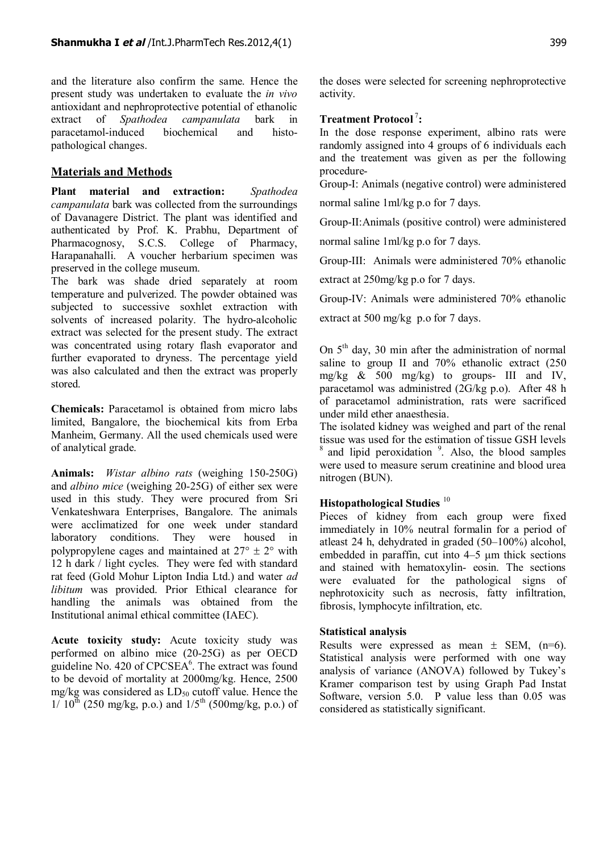and the literature also confirm the same. Hence the present study was undertaken to evaluate the *in vivo* antioxidant and nephroprotective potential of ethanolic extract of *Spathodea campanulata* bark in paracetamol-induced biochemical and histopathological changes.

## **Materials and Methods**

**Plant material and extraction:** *Spathodea campanulata* bark was collected from the surroundings of Davanagere District. The plant was identified and authenticated by Prof. K. Prabhu, Department of Pharmacognosy, S.C.S. College of Pharmacy, Harapanahalli. A voucher herbarium specimen was preserved in the college museum.

The bark was shade dried separately at room temperature and pulverized. The powder obtained was subjected to successive soxhlet extraction with solvents of increased polarity. The hydro-alcoholic extract was selected for the present study. The extract was concentrated using rotary flash evaporator and further evaporated to dryness. The percentage yield was also calculated and then the extract was properly stored.

**Chemicals:** Paracetamol is obtained from micro labs limited, Bangalore, the biochemical kits from Erba Manheim, Germany. All the used chemicals used were of analytical grade.

**Animals:** *Wistar albino rats* (weighing 150-250G) and *albino mice* (weighing 20-25G) of either sex were used in this study. They were procured from Sri Venkateshwara Enterprises, Bangalore. The animals were acclimatized for one week under standard laboratory conditions. They were housed in polypropylene cages and maintained at  $27^{\circ} \pm 2^{\circ}$  with 12 h dark / light cycles. They were fed with standard rat feed (Gold Mohur Lipton India Ltd.) and water *ad libitum* was provided. Prior Ethical clearance for handling the animals was obtained from the Institutional animal ethical committee (IAEC).

**Acute toxicity study:** Acute toxicity study was performed on albino mice (20-25G) as per OECD guideline No. 420 of  $\text{CPCSEA}^6$ . The extract was found to be devoid of mortality at 2000mg/kg. Hence, 2500 mg/kg was considered as  $LD_{50}$  cutoff value. Hence the  $1/ 10^{th}$  (250 mg/kg, p.o.) and  $1/5^{th}$  (500mg/kg, p.o.) of the doses were selected for screening nephroprotective activity.

#### **Treatment Protocol**<sup>7</sup>**:**

In the dose response experiment, albino rats were randomly assigned into 4 groups of 6 individuals each and the treatement was given as per the following procedure-

Group-I: Animals (negative control) were administered

normal saline 1ml/kg p.o for 7 days.

Group-II:Animals (positive control) were administered

normal saline 1ml/kg p.o for 7 days.

Group-III: Animals were administered 70% ethanolic

extract at 250mg/kg p.o for 7 days.

Group-IV: Animals were administered 70% ethanolic

extract at 500 mg/kg p.o for 7 days.

On  $5<sup>th</sup>$  day, 30 min after the administration of normal saline to group II and 70% ethanolic extract (250 mg/kg  $\&$  500 mg/kg) to groups- III and IV, paracetamol was administred (2G/kg p.o). After 48 h of paracetamol administration, rats were sacrificed under mild ether anaesthesia.

The isolated kidney was weighed and part of the renal tissue was used for the estimation of tissue GSH levels <sup>8</sup> and lipid peroxidation <sup>9</sup>. Also, the blood samples were used to measure serum creatinine and blood urea nitrogen (BUN).

#### **Histopathological Studies** <sup>10</sup>

Pieces of kidney from each group were fixed immediately in 10% neutral formalin for a period of atleast 24 h, dehydrated in graded (50–100%) alcohol, embedded in paraffin, cut into 4–5 μm thick sections and stained with hematoxylin- eosin. The sections were evaluated for the pathological signs of nephrotoxicity such as necrosis, fatty infiltration, fibrosis, lymphocyte infiltration, etc.

#### **Statistical analysis**

Results were expressed as mean  $\pm$  SEM, (n=6). Statistical analysis were performed with one way analysis of variance (ANOVA) followed by Tukey's Kramer comparison test by using Graph Pad Instat Software, version 5.0. P value less than 0.05 was considered as statistically significant.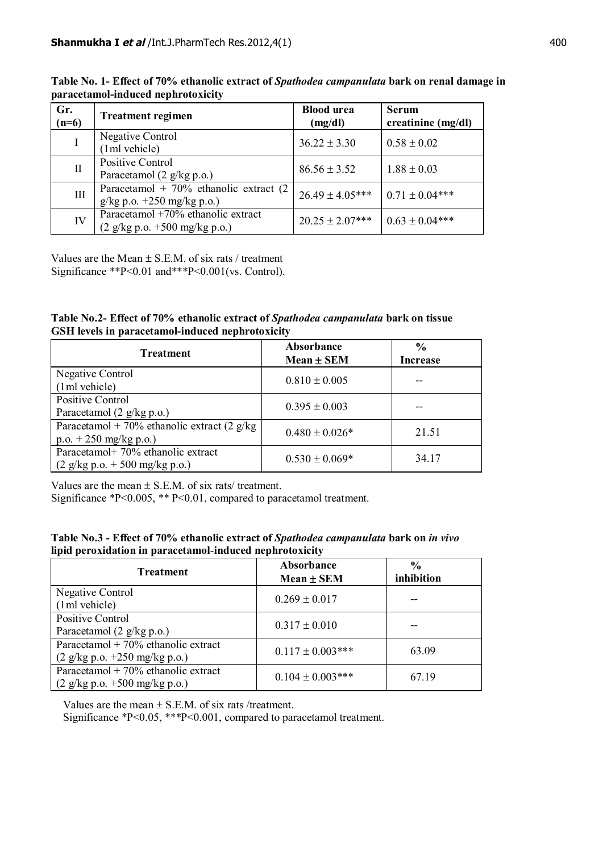| Gr.<br>$(n=6)$ | <b>Treatment regimen</b>                                                                                                         | <b>Blood</b> urea<br>(mg/dl) | <b>Serum</b><br>creatinine $(mg/dl)$ |
|----------------|----------------------------------------------------------------------------------------------------------------------------------|------------------------------|--------------------------------------|
|                | <b>Negative Control</b><br>(1ml vehicle)                                                                                         | $36.22 \pm 3.30$             | $0.58 \pm 0.02$                      |
| П              | Positive Control<br>Paracetamol $(2 \frac{g}{kg} p.o.)$                                                                          | $86.56 \pm 3.52$             | $1.88 \pm 0.03$                      |
| III            | Paracetamol + $70\%$ ethanolic extract (2)<br>$g/kg p.o. +250 mg/kg p.o.)$                                                       | $26.49 \pm 4.05***$          | $0.71 \pm 0.04***$                   |
| IV             | Paracetamol +70% ethanolic extract<br>$(2 \frac{\text{g}}{\text{kg}} \text{p.o.} + 500 \frac{\text{mg}}{\text{kg}} \text{p.o.})$ | $20.25 \pm 2.07***$          | $0.63 \pm 0.04***$                   |

**Table No. 1- Effect of 70% ethanolic extract of** *Spathodea campanulata* **bark on renal damage in paracetamol-induced nephrotoxicity**

Values are the Mean  $\pm$  S.E.M. of six rats / treatment Significance \*\*P<0.01 and\*\*\*P<0.001(vs. Control).

| Table No.2- Effect of 70% ethanolic extract of Spathodea campanulata bark on tissue |  |  |  |
|-------------------------------------------------------------------------------------|--|--|--|
| <b>GSH</b> levels in paracetamol-induced nephrotoxicity                             |  |  |  |

| <b>Treatment</b>                                                                                                                 | Absorbance<br>Mean ± SEM | $\frac{6}{6}$<br><b>Increase</b> |
|----------------------------------------------------------------------------------------------------------------------------------|--------------------------|----------------------------------|
| Negative Control<br>(1ml vehicle)                                                                                                | $0.810 \pm 0.005$        |                                  |
| Positive Control<br>Paracetamol $(2 \frac{g}{kg} p.o.)$                                                                          | $0.395 \pm 0.003$        |                                  |
| Paracetamol + 70% ethanolic extract (2 $g/kg$ )<br>$p.o. + 250$ mg/kg p.o.)                                                      | $0.480 \pm 0.026*$       | 21.51                            |
| Paracetamol+ 70% ethanolic extract<br>$(2 \frac{\text{g}}{\text{kg}} \text{p.o.} + 500 \frac{\text{mg}}{\text{kg}} \text{p.o.})$ | $0.530 \pm 0.069*$       | 34.17                            |

Values are the mean  $\pm$  S.E.M. of six rats/ treatment.

Significance \*P<0.005, \*\* P<0.01, compared to paracetamol treatment.

|  |                                                          |  | Table No.3 - Effect of 70% ethanolic extract of Spathodea campanulata bark on in vivo |
|--|----------------------------------------------------------|--|---------------------------------------------------------------------------------------|
|  | lipid peroxidation in paracetamol-induced nephrotoxicity |  |                                                                                       |

| <b>Treatment</b>                                                                                 | Absorbance<br>Mean ± SEM | $\frac{0}{0}$<br>inhibition |
|--------------------------------------------------------------------------------------------------|--------------------------|-----------------------------|
| Negative Control<br>(1ml vehicle)                                                                | $0.269 \pm 0.017$        |                             |
| Positive Control<br>Paracetamol $(2 \frac{g}{kg} p.o.)$                                          | $0.317 \pm 0.010$        |                             |
| Paracetamol + $70\%$ ethanolic extract<br>$(2 \frac{\text{g}}{\text{kg}})$ p.o. +250 mg/kg p.o.) | $0.117 \pm 0.003$ ***    | 63.09                       |
| Paracetamol + $70\%$ ethanolic extract<br>$(2 \frac{\text{g}}{\text{kg}})$ p.o. +500 mg/kg p.o.) | $0.104 \pm 0.003$ ***    | 67.19                       |

Values are the mean  $\pm$  S.E.M. of six rats /treatment.

Significance \*P<0.05, \*\*\*P<0.001, compared to paracetamol treatment.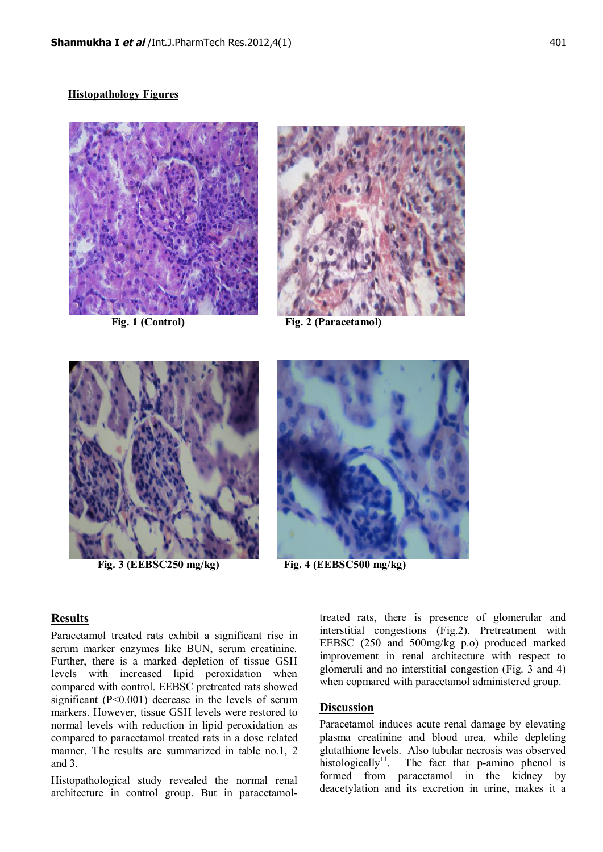#### **Histopathology Figures**





 **Fig. 1 (Control) Fig. 2 (Paracetamol)**



 **Fig. 3 (EEBSC250 mg/kg) Fig. 4 (EEBSC500 mg/kg)**



#### **Results**

Paracetamol treated rats exhibit a significant rise in serum marker enzymes like BUN, serum creatinine. Further, there is a marked depletion of tissue GSH levels with increased lipid peroxidation when compared with control. EEBSC pretreated rats showed significant (P<0.001) decrease in the levels of serum markers. However, tissue GSH levels were restored to normal levels with reduction in lipid peroxidation as compared to paracetamol treated rats in a dose related manner. The results are summarized in table no.1, 2 and 3.

Histopathological study revealed the normal renal architecture in control group. But in paracetamoltreated rats, there is presence of glomerular and interstitial congestions (Fig.2). Pretreatment with EEBSC (250 and 500mg/kg p.o) produced marked improvement in renal architecture with respect to glomeruli and no interstitial congestion (Fig. 3 and 4) when copmared with paracetamol administered group.

#### **Discussion**

Paracetamol induces acute renal damage by elevating plasma creatinine and blood urea, while depleting glutathione levels. Also tubular necrosis was observed histologically<sup>11</sup>. The fact that p-amino phenol is formed from paracetamol in the kidney by deacetylation and its excretion in urine, makes it a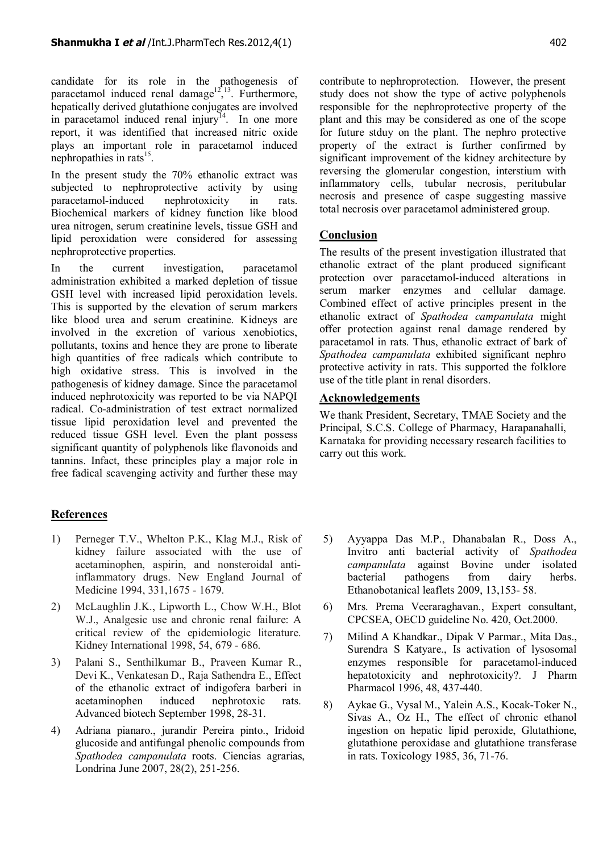candidate for its role in the pathogenesis of paracetamol induced renal damage<sup>12, 13</sup>. Furthermore, hepatically derived glutathione conjugates are involved in paracetamol induced renal injury<sup>14</sup>. In one more report, it was identified that increased nitric oxide plays an important role in paracetamol induced nephropathies in rats<sup>15</sup>.

In the present study the 70% ethanolic extract was subjected to nephroprotective activity by using paracetamol-induced nephrotoxicity in rats. Biochemical markers of kidney function like blood urea nitrogen, serum creatinine levels, tissue GSH and lipid peroxidation were considered for assessing nephroprotective properties.

In the current investigation, paracetamol administration exhibited a marked depletion of tissue GSH level with increased lipid peroxidation levels. This is supported by the elevation of serum markers like blood urea and serum creatinine. Kidneys are involved in the excretion of various xenobiotics, pollutants, toxins and hence they are prone to liberate high quantities of free radicals which contribute to high oxidative stress. This is involved in the pathogenesis of kidney damage. Since the paracetamol induced nephrotoxicity was reported to be via NAPQI radical. Co-administration of test extract normalized tissue lipid peroxidation level and prevented the reduced tissue GSH level. Even the plant possess significant quantity of polyphenols like flavonoids and tannins. Infact, these principles play a major role in free fadical scavenging activity and further these may

# **References**

- 1) Perneger T.V., Whelton P.K., Klag M.J., Risk of kidney failure associated with the use of acetaminophen, aspirin, and nonsteroidal antiinflammatory drugs. New England Journal of Medicine 1994, 331,1675 - 1679.
- 2) McLaughlin J.K., Lipworth L., Chow W.H., Blot W.J., Analgesic use and chronic renal failure: A critical review of the epidemiologic literature. Kidney International 1998, 54, 679 - 686.
- 3) Palani S., Senthilkumar B., Praveen Kumar R., Devi K., Venkatesan D., Raja Sathendra E., Effect of the ethanolic extract of indigofera barberi in acetaminophen induced nephrotoxic rats. Advanced biotech September 1998, 28-31.
- 4) Adriana pianaro., jurandir Pereira pinto., Iridoid glucoside and antifungal phenolic compounds from *Spathodea campanulata* roots. Ciencias agrarias, Londrina June 2007, 28(2), 251-256.

contribute to nephroprotection. However, the present study does not show the type of active polyphenols responsible for the nephroprotective property of the plant and this may be considered as one of the scope for future stduy on the plant. The nephro protective property of the extract is further confirmed by significant improvement of the kidney architecture by reversing the glomerular congestion, interstium with inflammatory cells, tubular necrosis, peritubular necrosis and presence of caspe suggesting massive total necrosis over paracetamol administered group.

#### **Conclusion**

The results of the present investigation illustrated that ethanolic extract of the plant produced significant protection over paracetamol-induced alterations in serum marker enzymes and cellular damage. Combined effect of active principles present in the ethanolic extract of *Spathodea campanulata* might offer protection against renal damage rendered by paracetamol in rats. Thus, ethanolic extract of bark of *Spathodea campanulata* exhibited significant nephro protective activity in rats. This supported the folklore use of the title plant in renal disorders.

#### **Acknowledgements**

We thank President, Secretary, TMAE Society and the Principal, S.C.S. College of Pharmacy, Harapanahalli, Karnataka for providing necessary research facilities to carry out this work.

- 5) Ayyappa Das M.P., Dhanabalan R., Doss A., Invitro anti bacterial activity of *Spathodea campanulata* against Bovine under isolated bacterial pathogens from dairy herbs. Ethanobotanical leaflets 2009, 13,153- 58.
- 6) Mrs. Prema Veeraraghavan., Expert consultant, CPCSEA, OECD guideline No. 420, Oct.2000.
- 7) Milind A Khandkar., Dipak V Parmar., Mita Das., Surendra S Katyare., Is activation of lysosomal enzymes responsible for paracetamol-induced hepatotoxicity and nephrotoxicity?. J Pharm Pharmacol 1996, 48, 437-440.
- 8) Aykae G., Vysal M., Yalein A.S., Kocak-Toker N., Sivas A., Oz H., The effect of chronic ethanol ingestion on hepatic lipid peroxide, Glutathione, glutathione peroxidase and glutathione transferase in rats. Toxicology 1985, 36, 71-76.